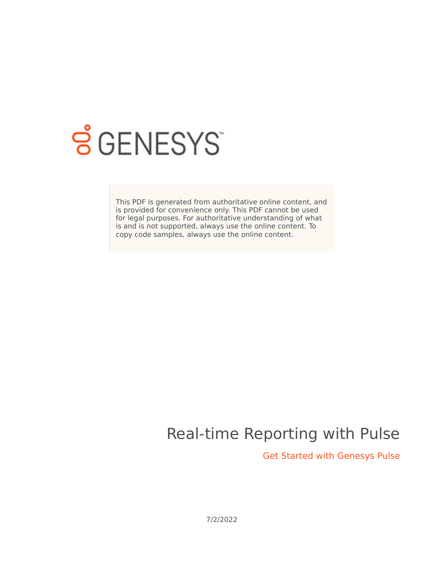

# **SGENESYS**

This PDF is generated from authoritative online content, and is provided for convenience only. This PDF cannot be used for legal purposes. For authoritative understanding of what is and is not supported, always use the online content. To copy code samples, always use the online content.

## Real-time Reporting with Pulse

Get Started with Genesys Pulse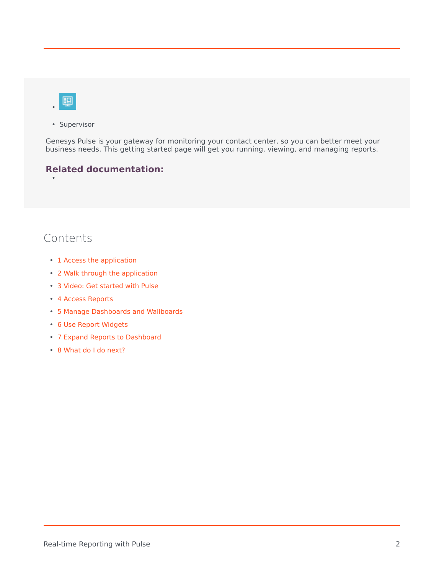

•

• Supervisor

Genesys Pulse is your gateway for monitoring your contact center, so you can better meet your business needs. This getting started page will get you running, viewing, and managing reports.

#### **Related documentation:**



- 1 [Access the application](#page-2-0)
- 2 [Walk through the application](#page-3-0)
- 3 [Video: Get started with Pulse](#page-3-1)
- 4 [Access Reports](#page-4-0)
- 5 [Manage Dashboards and Wallboards](#page-5-0)
- 6 [Use Report Widgets](#page-6-0)
- 7 [Expand Reports to Dashboard](#page-7-0)
- 8 [What do I do next?](#page-10-0)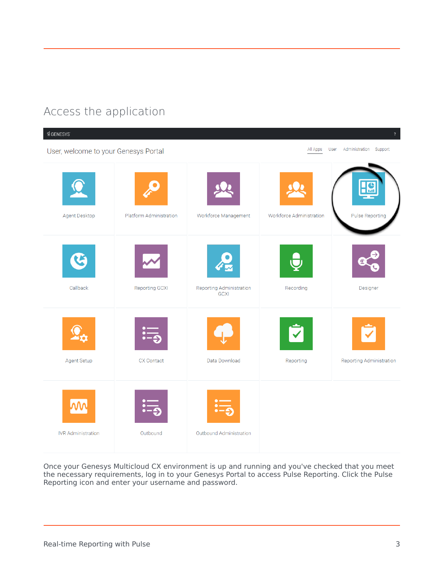## Access the application

<span id="page-2-0"></span>

Once your Genesys Multicloud CX environment is up and running and you've checked that you meet the necessary requirements, log in to your Genesys Portal to access Pulse Reporting. Click the Pulse Reporting icon and enter your username and password.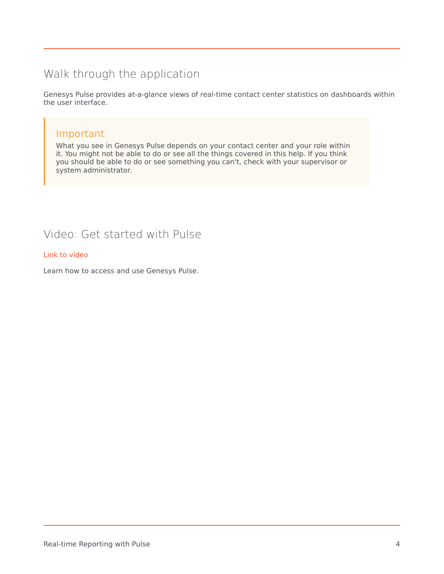## <span id="page-3-0"></span>Walk through the application

Genesys Pulse provides at-a-glance views of real-time contact center statistics on dashboards within the user interface.

#### Important

What you see in Genesys Pulse depends on your contact center and your role within it. You might not be able to do or see all the things covered in this help. If you think you should be able to do or see something you can't, check with your supervisor or system administrator.

### <span id="page-3-1"></span>Video: Get started with Pulse

#### [Link to video](https://player.vimeo.com/video/719137971?title=0&byline=0&portrait=0)

Learn how to access and use Genesys Pulse.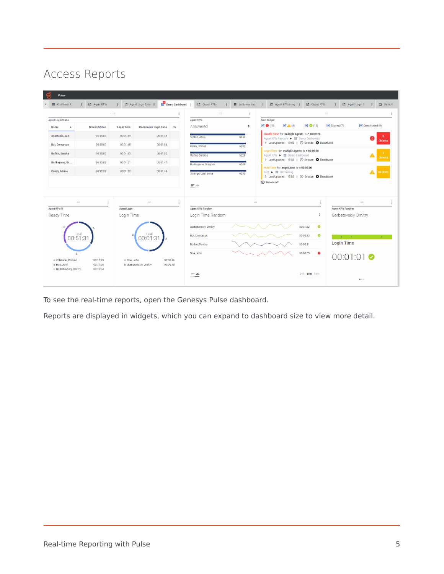## <span id="page-4-0"></span>Access Reports

| o<br>Pulse                                       |                                                         |                    |                                           |                         |                          |             |                                                                                                                                            |
|--------------------------------------------------|---------------------------------------------------------|--------------------|-------------------------------------------|-------------------------|--------------------------|-------------|--------------------------------------------------------------------------------------------------------------------------------------------|
| <b>ED</b> Customer X<br>$\overline{\phantom{a}}$ | E. Agent KPIs<br>$\mathbb{Z}^n$                         |                    | E Agent Login Exten :                     | <b>E</b> Demo Dashboard | E. Queue KPIs            | customerabc | <b>昆 Agent KPIs Long :</b><br>E. Queue KPIs<br>÷<br><b>E.</b> Agent Login 3<br>$\Box$ Default<br>$\ddot{\phantom{a}}$<br>÷                 |
|                                                  |                                                         | $\frac{1}{2}$      |                                           |                         | $\mathbb{H}^1$           | ÷           | $\mathbb{R}^n$                                                                                                                             |
| <b>Agent Login Status</b>                        |                                                         |                    |                                           |                         | <b>Agent KPIs</b>        |             | <b>Alert Widget</b>                                                                                                                        |
| Name<br>$\blacktriangle$                         | <b>Time in Status</b>                                   | <b>Login Time</b>  | <b>Continuous Login Time</b>              | $\mathbf{q}$            | Answered                 | ÷           | $\boxtimes$ $\bigcirc$ (10)<br>$\mathbf{A}$ (4)<br>$\boxtimes$ $\odot$ (13)<br>$\boxtimes$ Expired (7)<br>$\triangleright$ Deactivated (0) |
| Anastasio, Jae                                   | 96:35:03                                                | 00:01:49           | 00:01:48                                  |                         | Sutton, Alisa            | 6148        | Handle Time for multiple Agents is ≥00:00:20<br>Agent KPIs Random > Ell Demo Dashboard<br><b>Objects</b>                                   |
| <b>Bat, Demarcus</b>                             | 96:35:03                                                | 00:01:45           | 00:01:54                                  |                         | Kates, Wynell            | 6202        | > Last Updated: 17:08    ( Snooze @ Deactivate                                                                                             |
| <b>Bufkin, Sandra</b>                            | 96:35:03                                                | 00:01:53           | 00:01:52                                  |                         | <b>Hoffer, Gerardo</b>   | 6228        | Login Time for multiple Agents is ≤00:00:50<br>Agent KPIs ▶ ■ Demo Dashboard<br><b>Objects</b>                                             |
| Burlingame, Gr                                   | 96:35:03                                                | 00:01:51           | 00:01:47                                  |                         | Burlingame, Gregoria     | 6244        | > Last Updated: 17:08    (D Snooze @ Deactivate                                                                                            |
| Candy, Adrian                                    | 96:35:03                                                | 00:01:50           | 00:01:46                                  |                         | Strange, Lashawna        | 6256        | Hold Time for asipto_test is ≥ 00:05:00<br>AHT ▶ ■ UX Testing<br>00:06:03<br>> Last Updated: 17:08    (9 Snooze @ Deactivate               |
|                                                  |                                                         |                    |                                           |                         | 三小                       |             | (x) Snooze All                                                                                                                             |
|                                                  | $\ddot{\mathbf{z}}$<br>$\mathop{\mathrm{III}}\nolimits$ |                    | $\mathbb{R}^2$                            | $\frac{1}{2}$           |                          |             | $\mathbb{H}^1$<br>$\cdots$                                                                                                                 |
| <b>Agent KPIs R</b>                              |                                                         | <b>Agent Login</b> |                                           |                         | <b>Agent KPIs Random</b> |             | <b>Agent KPIs Random</b>                                                                                                                   |
| Ready Time                                       |                                                         | Login Time         |                                           |                         | Login Time Random        |             | ÷<br>Gorbatovskiy, Dmitry                                                                                                                  |
|                                                  |                                                         |                    |                                           |                         | Gorbatovskiy, Dmitry     |             | $\bullet$<br>00:01:22                                                                                                                      |
|                                                  | Total<br>00:51:31                                       | R                  | Total<br>00:01:31                         |                         | <b>Bat, Demarcus</b>     |             | $\bullet$<br>00:00:52<br><b>Communication</b>                                                                                              |
|                                                  |                                                         |                    |                                           |                         | Bufkin, Sandra           |             | <b>Login Time</b><br>00:00:31                                                                                                              |
| $\mathbf{R}$<br>A Zolatarev, Roman               | 00:17:29                                                | A Doe, John        | 00:00:46                                  |                         | Doe, John                |             | 00:00:05<br>$\bullet$<br>00:01:01                                                                                                          |
| B Doe, John<br>C Gorbatovskiy, Dmitry            | 00:17:08<br>00:16:54                                    |                    | 00:00:45<br><b>B</b> Gorbatovskiy, Dmitry |                         |                          |             |                                                                                                                                            |
|                                                  |                                                         |                    |                                           |                         | 三州                       |             | 24h 60m 15m<br>$\bullet$                                                                                                                   |

To see the real-time reports, open the Genesys Pulse dashboard.

Reports are displayed in widgets, which you can expand to dashboard size to view more detail.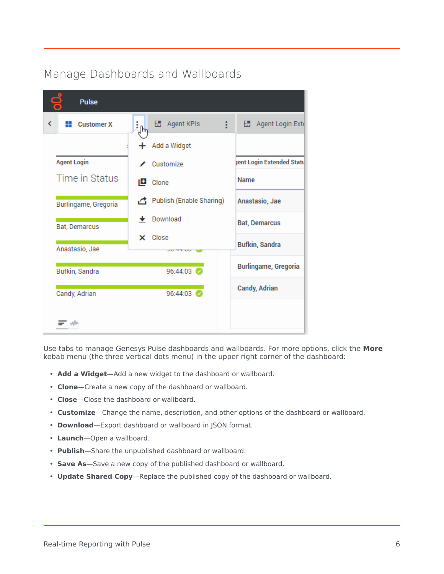## <span id="page-5-0"></span>Manage Dashboards and Wallboards

| <b>Pulse</b>                |                            |                             |  |  |
|-----------------------------|----------------------------|-----------------------------|--|--|
| K<br><b>Customer X</b><br>₩ | H Agent KPIs<br>÷<br>յհղ   | H Agent Login Exte          |  |  |
|                             | + Add a Widget             |                             |  |  |
| <b>Agent Login</b>          | Customize                  | jent Login Extended Statu   |  |  |
| Time in Status              | Clone                      | Name                        |  |  |
| Burlingame, Gregoria        | Publish (Enable Sharing)   | Anastasio, Jae              |  |  |
| Bat, Demarcus               | Download                   | <b>Bat, Demarcus</b>        |  |  |
| Anastasio, Jae              | $\times$ Close<br>フロバイナルログ | <b>Bufkin, Sandra</b>       |  |  |
| Bufkin, Sandra              | 96:44:03                   | <b>Burlingame, Gregoria</b> |  |  |
| Candy, Adrian               | 96:44:03                   | <b>Candy, Adrian</b>        |  |  |
|                             |                            |                             |  |  |

Use tabs to manage Genesys Pulse dashboards and wallboards. For more options, click the **More** kebab menu (the three vertical dots menu) in the upper right corner of the dashboard:

- **Add a Widget**—Add a new widget to the dashboard or wallboard.
- **Clone**—Create a new copy of the dashboard or wallboard.
- **Close**—Close the dashboard or wallboard.
- **Customize**—Change the name, description, and other options of the dashboard or wallboard.
- **Download**—Export dashboard or wallboard in JSON format.
- **Launch**—Open a wallboard.
- **Publish**—Share the unpublished dashboard or wallboard.
- **Save As**—Save a new copy of the published dashboard or wallboard.
- **Update Shared Copy**—Replace the published copy of the dashboard or wallboard.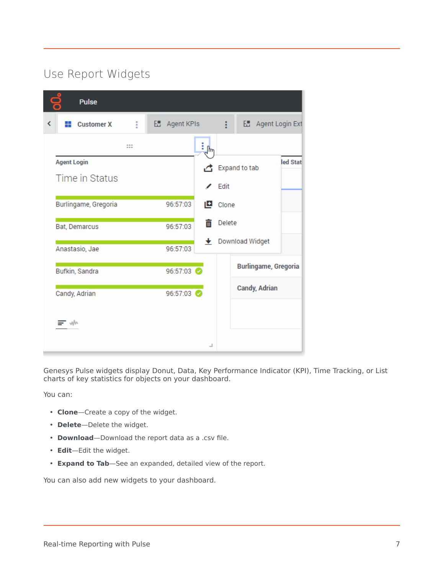## <span id="page-6-0"></span>Use Report Widgets

| <b>Pulse</b>                |     |                      |     |        |                             |          |
|-----------------------------|-----|----------------------|-----|--------|-----------------------------|----------|
| <b>Customer X</b><br>K<br>₩ | ŧ   | <b>E.</b> Agent KPIs |     | ŧ      | <b>E.</b> Agent Login Ext   |          |
|                             | ::: |                      |     |        |                             |          |
| <b>Agent Login</b>          |     |                      | .c. |        | Expand to tab               | led Stat |
| Time in Status              |     |                      |     | Edit   |                             |          |
| Burlingame, Gregoria        |     | 96:57:03             | 凹   | Clone  |                             |          |
| Bat, Demarcus               |     | 96:57:03             | ПI  | Delete |                             |          |
| Anastasio, Jae              |     | 96:57:03             |     |        | ← Download Widget           |          |
| Bufkin, Sandra              |     | 96:57:03             |     |        | <b>Burlingame, Gregoria</b> |          |
| Candy, Adrian               |     | 96:57:03             |     |        | <b>Candy, Adrian</b>        |          |
| w                           |     |                      | ┙   |        |                             |          |

Genesys Pulse widgets display Donut, Data, Key Performance Indicator (KPI), Time Tracking, or List charts of key statistics for objects on your dashboard.

You can:

- **Clone**—Create a copy of the widget.
- **Delete**—Delete the widget.
- **Download**—Download the report data as a .csv file.
- **Edit**—Edit the widget.
- **Expand to Tab**—See an expanded, detailed view of the report.

You can also add new widgets to your dashboard.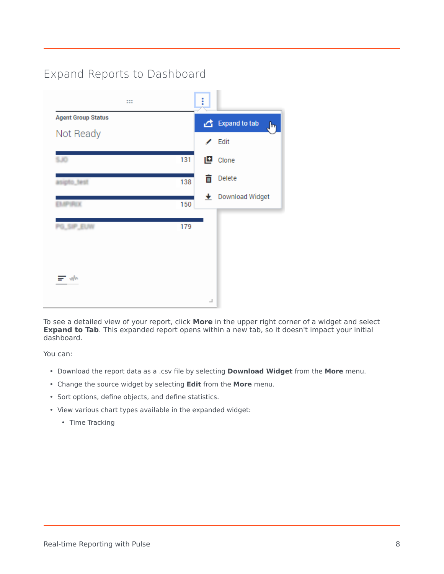## Expand Reports to Dashboard

<span id="page-7-0"></span>

To see a detailed view of your report, click **More** in the upper right corner of a widget and select **Expand to Tab**. This expanded report opens within a new tab, so it doesn't impact your initial dashboard.

You can:

- Download the report data as a .csv file by selecting **Download Widget** from the **More** menu.
- Change the source widget by selecting **Edit** from the **More** menu.
- Sort options, define objects, and define statistics.
- View various chart types available in the expanded widget:
	- Time Tracking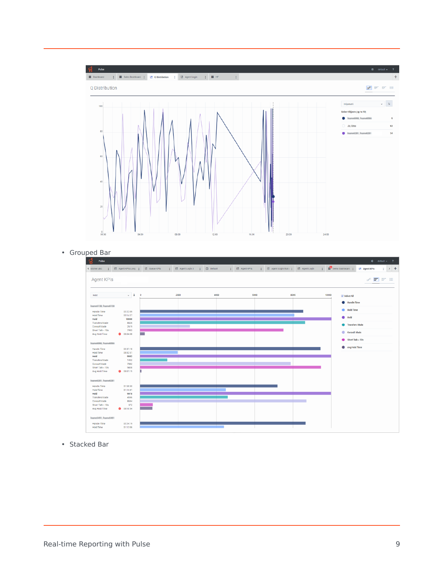

#### • Grouped Bar



• Stacked Bar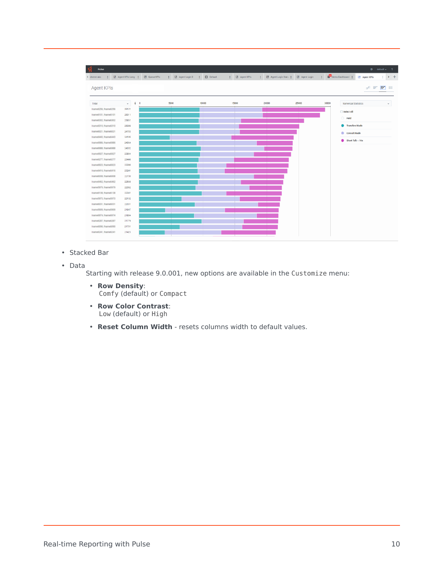

- Stacked Bar
- Data

Starting with release 9.0.001, new options are available in the Customize menu:

- **Row Density**: Comfy (default) or Compact
- **Row Color Contrast**: Low (default) or High
- **Reset Column Width** resets columns width to default values.